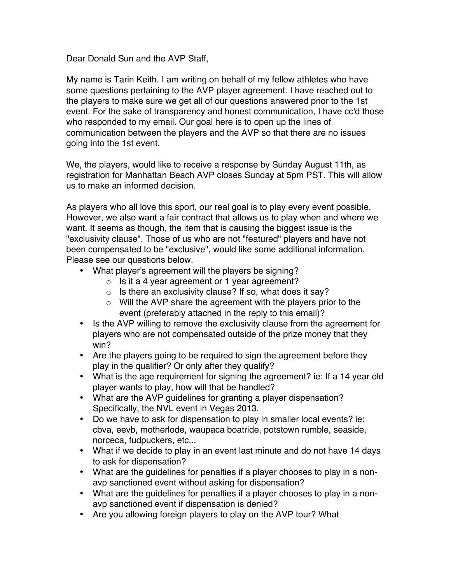Dear Donald Sun and the AVP Staff,

My name is Tarin Keith. I am writing on behalf of my fellow athletes who have some questions pertaining to the AVP player agreement. I have reached out to the players to make sure we get all of our questions answered prior to the 1st event. For the sake of transparency and honest communication, I have cc'd those who responded to my email. Our goal here is to open up the lines of communication between the players and the AVP so that there are no issues going into the 1st event.

We, the players, would like to receive a response by Sunday August 11th, as registration for Manhattan Beach AVP closes Sunday at 5pm PST. This will allow us to make an informed decision.

As players who all love this sport, our real goal is to play every event possible. However, we also want a fair contract that allows us to play when and where we want. It seems as though, the item that is causing the biggest issue is the "exclusivity clause". Those of us who are not "featured" players and have not been compensated to be "exclusive", would like some additional information. Please see our questions below.

- What player's agreement will the players be signing?
	- $\circ$  Is it a 4 year agreement or 1 year agreement?
	- $\circ$  Is there an exclusivity clause? If so, what does it say?
	- $\circ$  Will the AVP share the agreement with the players prior to the event (preferably attached in the reply to this email)?
- Is the AVP willing to remove the exclusivity clause from the agreement for players who are not compensated outside of the prize money that they win?
- Are the players going to be required to sign the agreement before they play in the qualifier? Or only after they qualify?
- What is the age requirement for signing the agreement? ie: If a 14 year old player wants to play, how will that be handled?
- What are the AVP guidelines for granting a player dispensation? Specifically, the NVL event in Vegas 2013.
- Do we have to ask for dispensation to play in smaller local events? ie: cbva, eevb, motherlode, waupaca boatride, potstown rumble, seaside, norceca, fudpuckers, etc...
- What if we decide to play in an event last minute and do not have 14 days to ask for dispensation?
- What are the guidelines for penalties if a player chooses to play in a nonavp sanctioned event without asking for dispensation?
- What are the guidelines for penalties if a player chooses to play in a nonavp sanctioned event if dispensation is denied?
- Are you allowing foreign players to play on the AVP tour? What